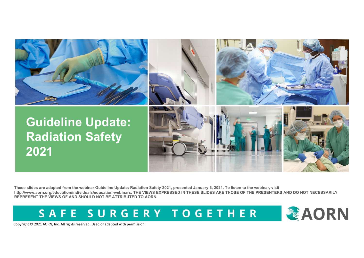

**These slides are adapted from the webinar Guideline Update: Radiation Safety 2021, presented January 6, 2021. To listen to the webinar, visit http://www.aorn.org/education/individuals/education-webinars. THE VIEWS EXPRESSED IN THESE SLIDES ARE THOSE OF THE PRESENTERS AND DO NOT NECESSARILY REPRESENT THE VIEWS OF AND SHOULD NOT BE ATTRIBUTED TO AORN.**

SAFE SURGERY TOGETHER

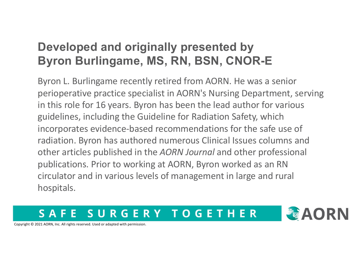### **Developed and originally presented by Byron Burlingame, MS, RN, BSN, CNOR-E**

Byron L. Burlingame recently retired from AORN. He was a senior perioperative practice specialist in AORN's Nursing Department, serving in this role for 16 years. Byron has been the lead author for various guidelines, including the Guideline for Radiation Safety, which incorporates evidence-based recommendations for the safe use of radiation. Byron has authored numerous Clinical Issues columns and other articles published in the *AORN Journal* and other professional publications. Prior to working at AORN, Byron worked as an RN circulator and in various levels of management in large and rural hospitals.

#### SURGERY TOGETHER  $\mathbf{S}$   $\mathbf{\Lambda}$ F

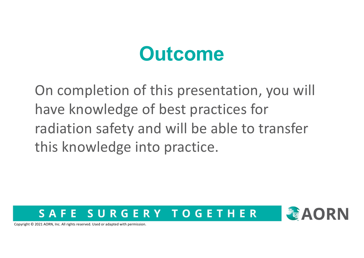## **Outcome**

On completion of this presentation, you will have knowledge of best practices for radiation safety and will be able to transfer this knowledge into practice.

#### SURGERY TOGETHER F. E S A